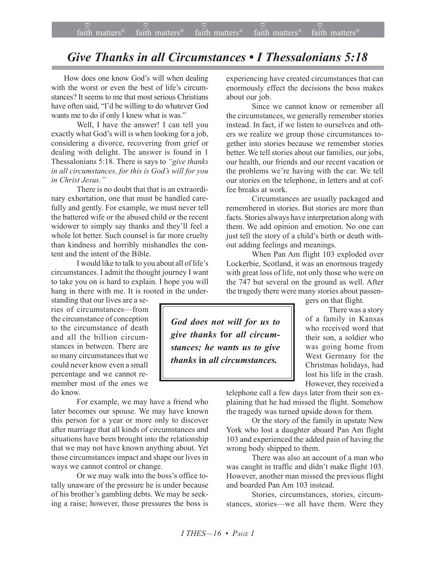## *Give Thanks in all Circumstances • I Thessalonians 5:18*

How does one know God's will when dealing with the worst or even the best of life's circumstances? It seems to me that most serious Christians have often said, "I'd be willing to do whatever God wants me to do if only I knew what is was."

Well, I have the answer! I can tell you exactly what God's will is when looking for a job, considering a divorce, recovering from grief or dealing with delight. The answer is found in 1 Thessalonians 5:18. There is says to *<sup>'</sup>give thanks in all circumstances, for this is Godís will for you in Christ Jesus.*"

There is no doubt that that is an extraordinary exhortation, one that must be handled carefully and gently. For example, we must never tell the battered wife or the abused child or the recent widower to simply say thanks and they'll feel a whole lot better. Such counsel is far more cruelty than kindness and horribly mishandles the content and the intent of the Bible.

I would like to talk to you about all of life's circumstances. I admit the thought journey I want to take you on is hard to explain. I hope you will hang in there with me. It is rooted in the under-

standing that our lives are a series of circumstances-from the circumstance of conception to the circumstance of death and all the billion circumstances in between. There are so many circumstances that we could never know even a small percentage and we cannot remember most of the ones we do know.

For example, we may have a friend who later becomes our spouse. We may have known this person for a year or more only to discover after marriage that all kinds of circumstances and situations have been brought into the relationship that we may not have known anything about. Yet those circumstances impact and shape our lives in ways we cannot control or change.

Or we may walk into the boss's office totally unaware of the pressure he is under because of his brother's gambling debts. We may be seeking a raise; however, those pressures the boss is experiencing have created circumstances that can enormously effect the decisions the boss makes about our job.

Since we cannot know or remember all the circumstances, we generally remember stories instead. In fact, if we listen to ourselves and others we realize we group those circumstances together into stories because we remember stories better. We tell stories about our families, our jobs, our health, our friends and our recent vacation or the problems we're having with the car. We tell our stories on the telephone, in letters and at coffee breaks at work.

Circumstances are usually packaged and remembered in stories. But stories are more than facts. Stories always have interpretation along with them. We add opinion and emotion. No one can just tell the story of a child's birth or death without adding feelings and meanings.

When Pan Am flight 103 exploded over Lockerbie, Scotland, it was an enormous tragedy with great loss of life, not only those who were on the 747 but several on the ground as well. After the tragedy there were many stories about passen-

*God does not will for us to give thanks* **for** *all circumstances; he wants us to give thanks* **in** *all circumstances.*

gers on that flight.

There was a story of a family in Kansas who received word that their son, a soldier who was going home from West Germany for the Christmas holidays, had lost his life in the crash. However, they received a

telephone call a few days later from their son explaining that he had missed the flight. Somehow the tragedy was turned upside down for them.

Or the story of the family in upstate New York who lost a daughter aboard Pan Am flight 103 and experienced the added pain of having the wrong body shipped to them.

There was also an account of a man who was caught in traffic and didn't make flight 103. However, another man missed the previous flight and boarded Pan Am 103 instead.

Stories, circumstances, stories, circumstances, stories—we all have them. Were they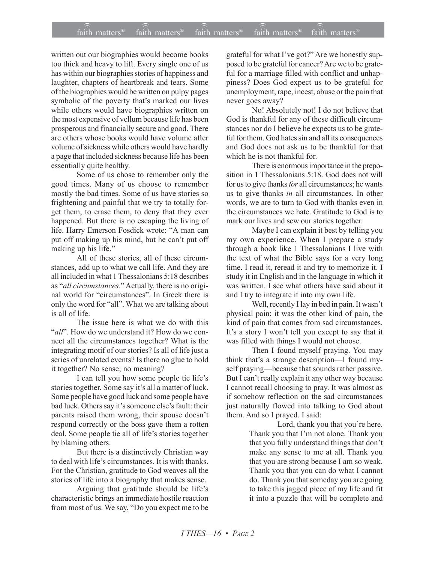written out our biographies would become books too thick and heavy to lift. Every single one of us has within our biographies stories of happiness and laughter, chapters of heartbreak and tears. Some of the biographies would be written on pulpy pages symbolic of the poverty that's marked our lives while others would have biographies written on the most expensive of vellum because life has been prosperous and financially secure and good. There are others whose books would have volume after volume of sickness while others would have hardly a page that included sickness because life has been essentially quite healthy.

Some of us chose to remember only the good times. Many of us choose to remember mostly the bad times. Some of us have stories so frightening and painful that we try to totally forget them, to erase them, to deny that they ever happened. But there is no escaping the living of life. Harry Emerson Fosdick wrote: "A man can put off making up his mind, but he can't put off making up his life."

All of these stories, all of these circumstances, add up to what we call life. And they are all included in what 1 Thessalonians 5:18 describes as "all circumstances." Actually, there is no original world for "circumstances". In Greek there is only the word for "all". What we are talking about is all of life.

The issue here is what we do with this "all". How do we understand it? How do we connect all the circumstances together? What is the integrating motif of our stories? Is all of life just a series of unrelated events? Is there no glue to hold it together? No sense; no meaning?

I can tell you how some people tie life's stories together. Some say it's all a matter of luck. Some people have good luck and some people have bad luck. Others say it's someone else's fault: their parents raised them wrong, their spouse doesn't respond correctly or the boss gave them a rotten deal. Some people tie all of life's stories together by blaming others.

But there is a distinctively Christian way to deal with life's circumstances. It is with thanks. For the Christian, gratitude to God weaves all the stories of life into a biography that makes sense.

Arguing that gratitude should be life's characteristic brings an immediate hostile reaction from most of us. We say, "Do you expect me to be

grateful for what I've got?" Are we honestly supposed to be grateful for cancer? Are we to be grateful for a marriage filled with conflict and unhappiness? Does God expect us to be grateful for unemployment, rape, incest, abuse or the pain that never goes away?

No! Absolutely not! I do not believe that God is thankful for any of these difficult circumstances nor do I believe he expects us to be grateful for them. God hates sin and all its consequences and God does not ask us to be thankful for that which he is not thankful for

There is enormous importance in the preposition in 1 Thessalonians 5:18. God does not will for us to give thanks *for* all circumstances; he wants us to give thanks in all circumstances. In other words, we are to turn to God with thanks even in the circumstances we hate. Gratitude to God is to mark our lives and sew our stories together.

Maybe I can explain it best by telling you my own experience. When I prepare a study through a book like 1 Thessalonians I live with the text of what the Bible says for a very long time. I read it, reread it and try to memorize it. I study it in English and in the language in which it was written. I see what others have said about it and I try to integrate it into my own life.

Well, recently I lay in bed in pain. It wasn't physical pain; it was the other kind of pain, the kind of pain that comes from sad circumstances. It's a story I won't tell you except to say that it was filled with things I would not choose.

Then I found myself praying. You may think that's a strange description-I found myself praying—because that sounds rather passive. But I can't really explain it any other way because I cannot recall choosing to pray. It was almost as if somehow reflection on the sad circumstances just naturally flowed into talking to God about them. And so I prayed. I said:

> Lord, thank you that you're here. Thank you that I'm not alone. Thank you that you fully understand things that don't make any sense to me at all. Thank you that you are strong because I am so weak. Thank you that you can do what I cannot do. Thank you that someday you are going to take this jagged piece of my life and fit it into a puzzle that will be complete and